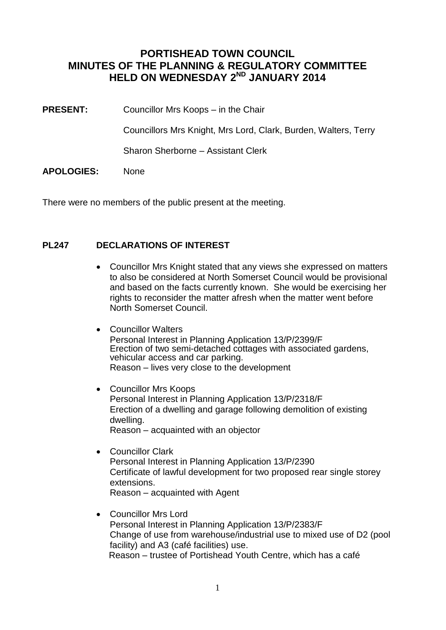## **PORTISHEAD TOWN COUNCIL MINUTES OF THE PLANNING & REGULATORY COMMITTEE HELD ON WEDNESDAY 2ND JANUARY 2014**

**PRESENT:** Councillor Mrs Koops – in the Chair

Councillors Mrs Knight, Mrs Lord, Clark, Burden, Walters, Terry

Sharon Sherborne – Assistant Clerk

**APOLOGIES:** None

There were no members of the public present at the meeting.

#### **PL247 DECLARATIONS OF INTEREST**

- Councillor Mrs Knight stated that any views she expressed on matters to also be considered at North Somerset Council would be provisional and based on the facts currently known. She would be exercising her rights to reconsider the matter afresh when the matter went before North Somerset Council.
- Councillor Walters Personal Interest in Planning Application 13/P/2399/F Erection of two semi-detached cottages with associated gardens, vehicular access and car parking. Reason – lives very close to the development
- Councillor Mrs Koops Personal Interest in Planning Application 13/P/2318/F Erection of a dwelling and garage following demolition of existing dwelling. Reason – acquainted with an objector
- Councillor Clark Personal Interest in Planning Application 13/P/2390 Certificate of lawful development for two proposed rear single storey extensions. Reason – acquainted with Agent
- Councillor Mrs Lord Personal Interest in Planning Application 13/P/2383/F Change of use from warehouse/industrial use to mixed use of D2 (pool facility) and A3 (café facilities) use. Reason – trustee of Portishead Youth Centre, which has a café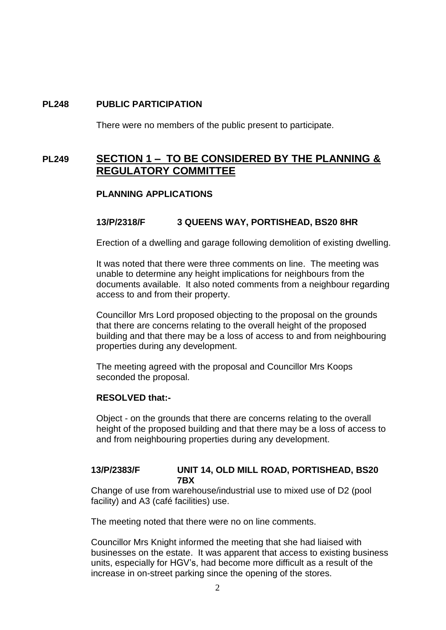### **PL248 PUBLIC PARTICIPATION**

There were no members of the public present to participate.

## **PL249 SECTION 1 – TO BE CONSIDERED BY THE PLANNING & REGULATORY COMMITTEE**

#### **PLANNING APPLICATIONS**

#### **13/P/2318/F 3 QUEENS WAY, PORTISHEAD, BS20 8HR**

Erection of a dwelling and garage following demolition of existing dwelling.

It was noted that there were three comments on line. The meeting was unable to determine any height implications for neighbours from the documents available. It also noted comments from a neighbour regarding access to and from their property.

Councillor Mrs Lord proposed objecting to the proposal on the grounds that there are concerns relating to the overall height of the proposed building and that there may be a loss of access to and from neighbouring properties during any development.

The meeting agreed with the proposal and Councillor Mrs Koops seconded the proposal.

#### **RESOLVED that:-**

Object - on the grounds that there are concerns relating to the overall height of the proposed building and that there may be a loss of access to and from neighbouring properties during any development.

#### **13/P/2383/F UNIT 14, OLD MILL ROAD, PORTISHEAD, BS20 7BX**

Change of use from warehouse/industrial use to mixed use of D2 (pool facility) and A3 (café facilities) use.

The meeting noted that there were no on line comments.

Councillor Mrs Knight informed the meeting that she had liaised with businesses on the estate. It was apparent that access to existing business units, especially for HGV's, had become more difficult as a result of the increase in on-street parking since the opening of the stores.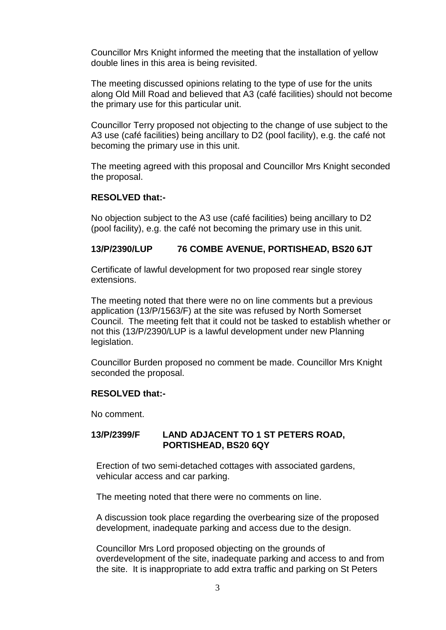Councillor Mrs Knight informed the meeting that the installation of yellow double lines in this area is being revisited.

The meeting discussed opinions relating to the type of use for the units along Old Mill Road and believed that A3 (café facilities) should not become the primary use for this particular unit.

Councillor Terry proposed not objecting to the change of use subject to the A3 use (café facilities) being ancillary to D2 (pool facility), e.g. the café not becoming the primary use in this unit.

The meeting agreed with this proposal and Councillor Mrs Knight seconded the proposal.

#### **RESOLVED that:-**

No objection subject to the A3 use (café facilities) being ancillary to D2 (pool facility), e.g. the café not becoming the primary use in this unit.

#### **13/P/2390/LUP 76 COMBE AVENUE, PORTISHEAD, BS20 6JT**

Certificate of lawful development for two proposed rear single storey extensions.

The meeting noted that there were no on line comments but a previous application (13/P/1563/F) at the site was refused by North Somerset Council. The meeting felt that it could not be tasked to establish whether or not this (13/P/2390/LUP is a lawful development under new Planning legislation.

Councillor Burden proposed no comment be made. Councillor Mrs Knight seconded the proposal.

#### **RESOLVED that:-**

No comment.

#### **13/P/2399/F LAND ADJACENT TO 1 ST PETERS ROAD, PORTISHEAD, BS20 6QY**

Erection of two semi-detached cottages with associated gardens, vehicular access and car parking.

The meeting noted that there were no comments on line.

A discussion took place regarding the overbearing size of the proposed development, inadequate parking and access due to the design.

Councillor Mrs Lord proposed objecting on the grounds of overdevelopment of the site, inadequate parking and access to and from the site. It is inappropriate to add extra traffic and parking on St Peters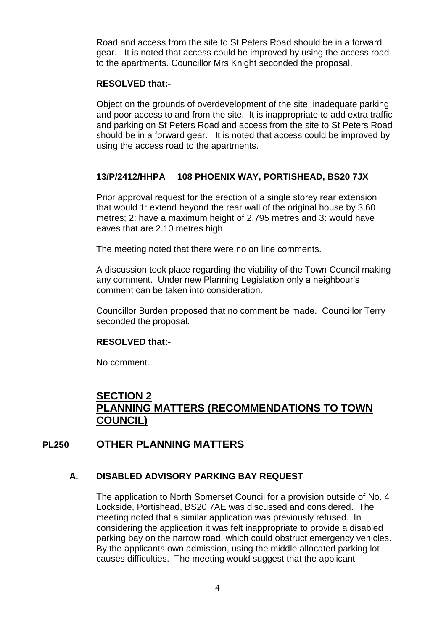Road and access from the site to St Peters Road should be in a forward gear. It is noted that access could be improved by using the access road to the apartments. Councillor Mrs Knight seconded the proposal.

#### **RESOLVED that:-**

Object on the grounds of overdevelopment of the site, inadequate parking and poor access to and from the site. It is inappropriate to add extra traffic and parking on St Peters Road and access from the site to St Peters Road should be in a forward gear. It is noted that access could be improved by using the access road to the apartments.

## **13/P/2412/HHPA 108 PHOENIX WAY, PORTISHEAD, BS20 7JX**

Prior approval request for the erection of a single storey rear extension that would 1: extend beyond the rear wall of the original house by 3.60 metres; 2: have a maximum height of 2.795 metres and 3: would have eaves that are 2.10 metres high

The meeting noted that there were no on line comments.

A discussion took place regarding the viability of the Town Council making any comment. Under new Planning Legislation only a neighbour's comment can be taken into consideration.

Councillor Burden proposed that no comment be made. Councillor Terry seconded the proposal.

#### **RESOLVED that:-**

No comment.

# **SECTION 2 PLANNING MATTERS (RECOMMENDATIONS TO TOWN COUNCIL)**

## **PL250 OTHER PLANNING MATTERS**

#### **A. DISABLED ADVISORY PARKING BAY REQUEST**

The application to North Somerset Council for a provision outside of No. 4 Lockside, Portishead, BS20 7AE was discussed and considered. The meeting noted that a similar application was previously refused. In considering the application it was felt inappropriate to provide a disabled parking bay on the narrow road, which could obstruct emergency vehicles. By the applicants own admission, using the middle allocated parking lot causes difficulties. The meeting would suggest that the applicant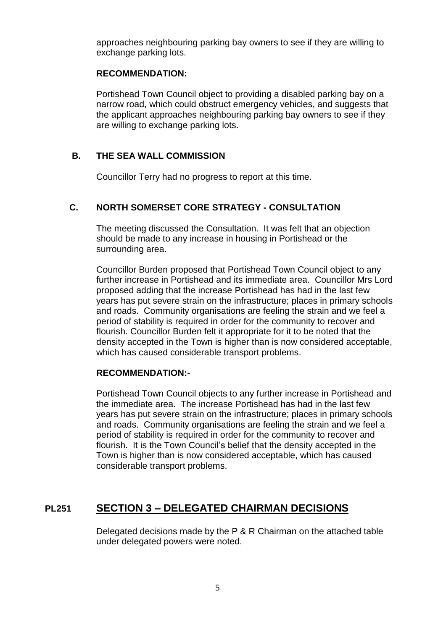approaches neighbouring parking bay owners to see if they are willing to exchange parking lots.

### **RECOMMENDATION:**

Portishead Town Council object to providing a disabled parking bay on a narrow road, which could obstruct emergency vehicles, and suggests that the applicant approaches neighbouring parking bay owners to see if they are willing to exchange parking lots.

## **B. THE SEA WALL COMMISSION**

Councillor Terry had no progress to report at this time.

### **C. NORTH SOMERSET CORE STRATEGY - CONSULTATION**

The meeting discussed the Consultation. It was felt that an objection should be made to any increase in housing in Portishead or the surrounding area.

Councillor Burden proposed that Portishead Town Council object to any further increase in Portishead and its immediate area. Councillor Mrs Lord proposed adding that the increase Portishead has had in the last few years has put severe strain on the infrastructure; places in primary schools and roads. Community organisations are feeling the strain and we feel a period of stability is required in order for the community to recover and flourish. Councillor Burden felt it appropriate for it to be noted that the density accepted in the Town is higher than is now considered acceptable, which has caused considerable transport problems.

#### **RECOMMENDATION:-**

Portishead Town Council objects to any further increase in Portishead and the immediate area. The increase Portishead has had in the last few years has put severe strain on the infrastructure; places in primary schools and roads. Community organisations are feeling the strain and we feel a period of stability is required in order for the community to recover and flourish. It is the Town Council's belief that the density accepted in the Town is higher than is now considered acceptable, which has caused considerable transport problems.

# **PL251 SECTION 3 – DELEGATED CHAIRMAN DECISIONS**

Delegated decisions made by the P & R Chairman on the attached table under delegated powers were noted.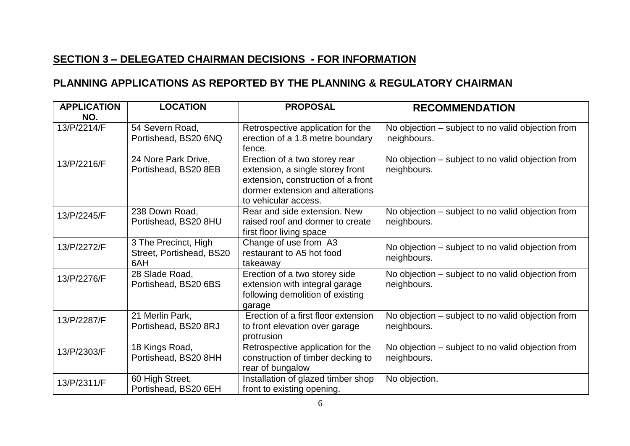# **SECTION 3 – DELEGATED CHAIRMAN DECISIONS - FOR INFORMATION**

# **PLANNING APPLICATIONS AS REPORTED BY THE PLANNING & REGULATORY CHAIRMAN**

| <b>APPLICATION</b><br>NO. | <b>LOCATION</b>                                         | <b>PROPOSAL</b>                                                                                                                                                     | <b>RECOMMENDATION</b>                                            |
|---------------------------|---------------------------------------------------------|---------------------------------------------------------------------------------------------------------------------------------------------------------------------|------------------------------------------------------------------|
| 13/P/2214/F               | 54 Severn Road,<br>Portishead, BS20 6NQ                 | Retrospective application for the<br>erection of a 1.8 metre boundary<br>fence.                                                                                     | No objection – subject to no valid objection from<br>neighbours. |
| 13/P/2216/F               | 24 Nore Park Drive,<br>Portishead, BS20 8EB             | Erection of a two storey rear<br>extension, a single storey front<br>extension, construction of a front<br>dormer extension and alterations<br>to vehicular access. | No objection - subject to no valid objection from<br>neighbours. |
| 13/P/2245/F               | 238 Down Road,<br>Portishead, BS20 8HU                  | Rear and side extension. New<br>raised roof and dormer to create<br>first floor living space                                                                        | No objection – subject to no valid objection from<br>neighbours. |
| 13/P/2272/F               | 3 The Precinct, High<br>Street, Portishead, BS20<br>6AH | Change of use from A3<br>restaurant to A5 hot food<br>takeaway                                                                                                      | No objection – subject to no valid objection from<br>neighbours. |
| 13/P/2276/F               | 28 Slade Road,<br>Portishead, BS20 6BS                  | Erection of a two storey side<br>extension with integral garage<br>following demolition of existing<br>garage                                                       | No objection – subject to no valid objection from<br>neighbours. |
| 13/P/2287/F               | 21 Merlin Park,<br>Portishead, BS20 8RJ                 | Erection of a first floor extension<br>to front elevation over garage<br>protrusion                                                                                 | No objection – subject to no valid objection from<br>neighbours. |
| 13/P/2303/F               | 18 Kings Road,<br>Portishead, BS20 8HH                  | Retrospective application for the<br>construction of timber decking to<br>rear of bungalow                                                                          | No objection – subject to no valid objection from<br>neighbours. |
| 13/P/2311/F               | 60 High Street,<br>Portishead, BS20 6EH                 | Installation of glazed timber shop<br>front to existing opening.                                                                                                    | No objection.                                                    |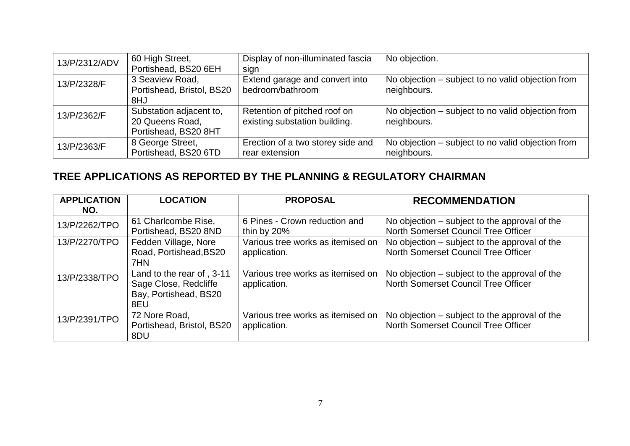| 13/P/2312/ADV | 60 High Street,           | Display of non-illuminated fascia | No objection.                                     |
|---------------|---------------------------|-----------------------------------|---------------------------------------------------|
|               | Portishead, BS20 6EH      | sign                              |                                                   |
| 13/P/2328/F   | 3 Seaview Road,           | Extend garage and convert into    | No objection – subject to no valid objection from |
|               | Portishead, Bristol, BS20 | bedroom/bathroom                  | neighbours.                                       |
|               | 8HJ                       |                                   |                                                   |
| 13/P/2362/F   | Substation adjacent to,   | Retention of pitched roof on      | No objection – subject to no valid objection from |
|               | 20 Queens Road,           | existing substation building.     | neighbours.                                       |
|               | Portishead, BS20 8HT      |                                   |                                                   |
| 13/P/2363/F   | 8 George Street,          | Erection of a two storey side and | No objection – subject to no valid objection from |
|               | Portishead, BS20 6TD      | rear extension                    | neighbours.                                       |

# **TREE APPLICATIONS AS REPORTED BY THE PLANNING & REGULATORY CHAIRMAN**

| <b>APPLICATION</b><br>NO. | <b>LOCATION</b>                                                                    | <b>PROPOSAL</b>                                   | <b>RECOMMENDATION</b>                                                                |
|---------------------------|------------------------------------------------------------------------------------|---------------------------------------------------|--------------------------------------------------------------------------------------|
| 13/P/2262/TPO             | 61 Charlcombe Rise,<br>Portishead, BS20 8ND                                        | 6 Pines - Crown reduction and<br>thin by 20%      | No objection – subject to the approval of the<br>North Somerset Council Tree Officer |
| 13/P/2270/TPO             | Fedden Village, Nore<br>Road, Portishead, BS20<br>7HN                              | Various tree works as itemised on<br>application. | No objection – subject to the approval of the<br>North Somerset Council Tree Officer |
| 13/P/2338/TPO             | Land to the rear of, 3-11<br>Sage Close, Redcliffe<br>Bay, Portishead, BS20<br>8EU | Various tree works as itemised on<br>application. | No objection – subject to the approval of the<br>North Somerset Council Tree Officer |
| 13/P/2391/TPO             | 72 Nore Road,<br>Portishead, Bristol, BS20<br>8DU                                  | Various tree works as itemised on<br>application. | No objection – subject to the approval of the<br>North Somerset Council Tree Officer |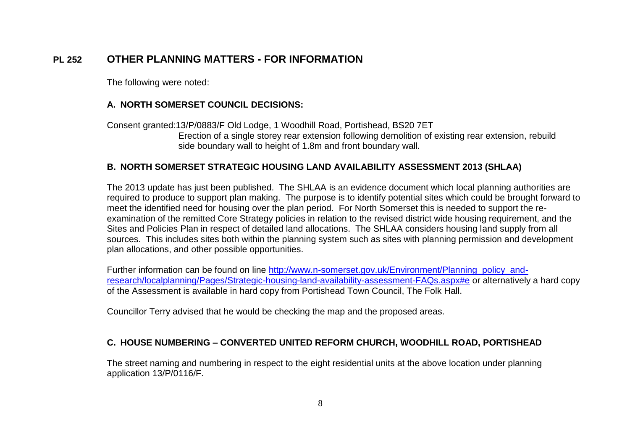# **PL 252 OTHER PLANNING MATTERS - FOR INFORMATION**

The following were noted:

#### **A. NORTH SOMERSET COUNCIL DECISIONS:**

Consent granted:13/P/0883/F Old Lodge, 1 Woodhill Road, Portishead, BS20 7ET Erection of a single storey rear extension following demolition of existing rear extension, rebuild side boundary wall to height of 1.8m and front boundary wall.

#### **B. NORTH SOMERSET STRATEGIC HOUSING LAND AVAILABILITY ASSESSMENT 2013 (SHLAA)**

The 2013 update has just been published. The SHLAA is an evidence document which local planning authorities are required to produce to support plan making. The purpose is to identify potential sites which could be brought forward to meet the identified need for housing over the plan period. For North Somerset this is needed to support the reexamination of the remitted Core Strategy policies in relation to the revised district wide housing requirement, and the Sites and Policies Plan in respect of detailed land allocations. The SHLAA considers housing land supply from all sources. This includes sites both within the planning system such as sites with planning permission and development plan allocations, and other possible opportunities.

Further information can be found on line http://www.n-somerset.gov.uk/Environment/Planning policy and[research/localplanning/Pages/Strategic-housing-land-availability-assessment-FAQs.aspx#e](http://www.n-somerset.gov.uk/Environment/Planning_policy_and-research/localplanning/Pages/Strategic-housing-land-availability-assessment-FAQs.aspx#e) or alternatively a hard copy of the Assessment is available in hard copy from Portishead Town Council, The Folk Hall.

Councillor Terry advised that he would be checking the map and the proposed areas.

#### **C. HOUSE NUMBERING – CONVERTED UNITED REFORM CHURCH, WOODHILL ROAD, PORTISHEAD**

The street naming and numbering in respect to the eight residential units at the above location under planning application 13/P/0116/F.